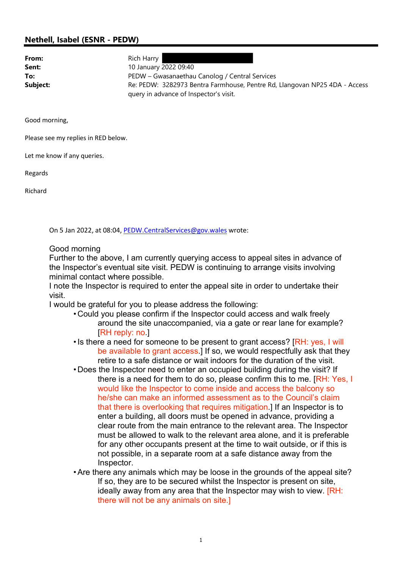## Nethell, Isabel (ESNR - PEDW)

| From:    | Rich Harry                                                                                                           |
|----------|----------------------------------------------------------------------------------------------------------------------|
| Sent:    | 10 January 2022 09:40                                                                                                |
| To:      | PEDW – Gwasanaethau Canolog / Central Services                                                                       |
| Subject: | Re: PEDW: 3282973 Bentra Farmhouse, Pentre Rd, Llangovan NP25 4DA - Access<br>query in advance of Inspector's visit. |

Good morning,

Please see my replies in RED below.

Let me know if any queries.

Regards

Richard

On 5 Jan 2022, at 08:04, PEDW.CentralServices@gov.wales wrote:

## Good morning

Further to the above, I am currently querying access to appeal sites in advance of the Inspector's eventual site visit. PEDW is continuing to arrange visits involving minimal contact where possible.

I note the Inspector is required to enter the appeal site in order to undertake their visit.

I would be grateful for you to please address the following:

- Could you please confirm if the Inspector could access and walk freely around the site unaccompanied, via a gate or rear lane for example? [RH reply: no.]
- Is there a need for someone to be present to grant access? [RH: yes, I will be available to grant access.] If so, we would respectfully ask that they retire to a safe distance or wait indoors for the duration of the visit.
- Does the Inspector need to enter an occupied building during the visit? If there is a need for them to do so, please confirm this to me. [RH: Yes, I would like the Inspector to come inside and access the balcony so he/she can make an informed assessment as to the Council's claim that there is overlooking that requires mitigation.] If an Inspector is to enter a building, all doors must be opened in advance, providing a clear route from the main entrance to the relevant area. The Inspector must be allowed to walk to the relevant area alone, and it is preferable for any other occupants present at the time to wait outside, or if this is not possible, in a separate room at a safe distance away from the Inspector.
- •Are there any animals which may be loose in the grounds of the appeal site? If so, they are to be secured whilst the Inspector is present on site, ideally away from any area that the Inspector may wish to view. [RH: there will not be any animals on site.]